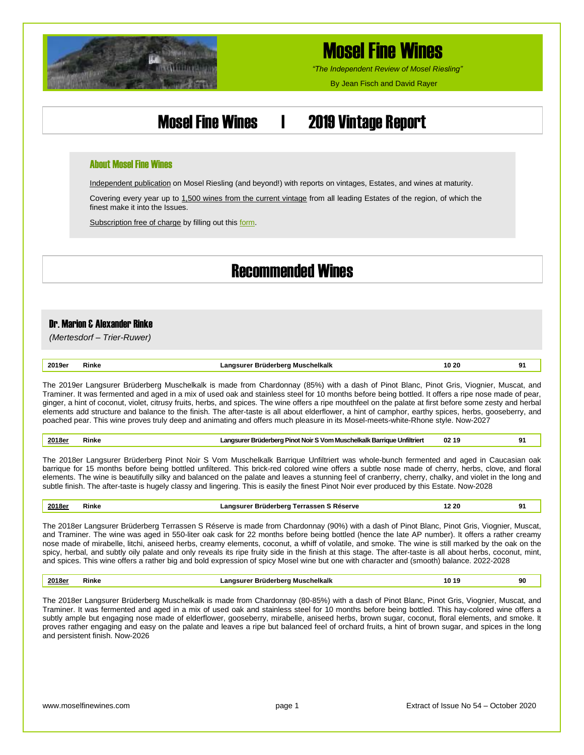

## Mosel Fine Wines

*"The Independent Review of Mosel Riesling"*

By Jean Fisch and David Rayer

### Mosel Fine Wines | 2019 Vintage Report

#### About Mosel Fine Wines

Independent publication on Mosel Riesling (and beyond!) with reports on vintages, Estates, and wines at maturity.

Covering every year up to 1,500 wines from the current vintage from all leading Estates of the region, of which the finest make it into the Issues.

Subscription free of charge by filling out thi[s form.](http://www.moselfinewines.com/subscribe.php)

### Recommended Wines

### Dr. Marion & Alexander Rinke

*(Mertesdorf – Trier-Ruwer)*

| 2019er | <br>ĸinke | 1N 2N<br>schelkalk<br>. . | ົ |
|--------|-----------|---------------------------|---|
|        |           |                           |   |

The 2019er Langsurer Brüderberg Muschelkalk is made from Chardonnay (85%) with a dash of Pinot Blanc, Pinot Gris, Viognier, Muscat, and Traminer. It was fermented and aged in a mix of used oak and stainless steel for 10 months before being bottled. It offers a ripe nose made of pear, ginger, a hint of coconut, violet, citrusy fruits, herbs, and spices. The wine offers a ripe mouthfeel on the palate at first before some zesty and herbal elements add structure and balance to the finish. The after-taste is all about elderflower, a hint of camphor, earthy spices, herbs, gooseberry, and poached pear. This wine proves truly deep and animating and offers much pleasure in its Mosel-meets-white-Rhone style. Now-2027

| 2018er | ₹ink | <b>The Brüderberg Pinot Noir S Vom Muschelkalk Barrique Unfiltriert</b><br>anosurer | - 02 1 | m |
|--------|------|-------------------------------------------------------------------------------------|--------|---|
|        |      |                                                                                     |        |   |

The 2018er Langsurer Brüderberg Pinot Noir S Vom Muschelkalk Barrique Unfiltriert was whole-bunch fermented and aged in Caucasian oak barrique for 15 months before being bottled unfiltered. This brick-red colored wine offers a subtle nose made of cherry, herbs, clove, and floral elements. The wine is beautifully silky and balanced on the palate and leaves a stunning feel of cranberry, cherry, chalky, and violet in the long and subtle finish. The after-taste is hugely classy and lingering. This is easily the finest Pinot Noir ever produced by this Estate. Now-2028

| 2018er<br>220<br>Langsurer Brüderberg Terrassen S Reserve<br>Rinke | . വ<br>- |
|--------------------------------------------------------------------|----------|
|--------------------------------------------------------------------|----------|

The 2018er Langsurer Brüderberg Terrassen S Réserve is made from Chardonnay (90%) with a dash of Pinot Blanc, Pinot Gris, Viognier, Muscat, and Traminer. The wine was aged in 550-liter oak cask for 22 months before being bottled (hence the late AP number). It offers a rather creamy nose made of mirabelle, litchi, aniseed herbs, creamy elements, coconut, a whiff of volatile, and smoke. The wine is still marked by the oak on the spicy, herbal, and subtly oily palate and only reveals its ripe fruity side in the finish at this stage. The after-taste is all about herbs, coconut, mint, and spices. This wine offers a rather big and bold expression of spicy Mosel wine but one with character and (smooth) balance. 2022-2028

| 2018e<br>___ | kinke | Muschelkalk | . . | 90 |
|--------------|-------|-------------|-----|----|
|              |       |             |     |    |

The 2018er Langsurer Brüderberg Muschelkalk is made from Chardonnay (80-85%) with a dash of Pinot Blanc, Pinot Gris, Viognier, Muscat, and Traminer. It was fermented and aged in a mix of used oak and stainless steel for 10 months before being bottled. This hay-colored wine offers a subtly ample but engaging nose made of elderflower, gooseberry, mirabelle, aniseed herbs, brown sugar, coconut, floral elements, and smoke. It proves rather engaging and easy on the palate and leaves a ripe but balanced feel of orchard fruits, a hint of brown sugar, and spices in the long and persistent finish. Now-2026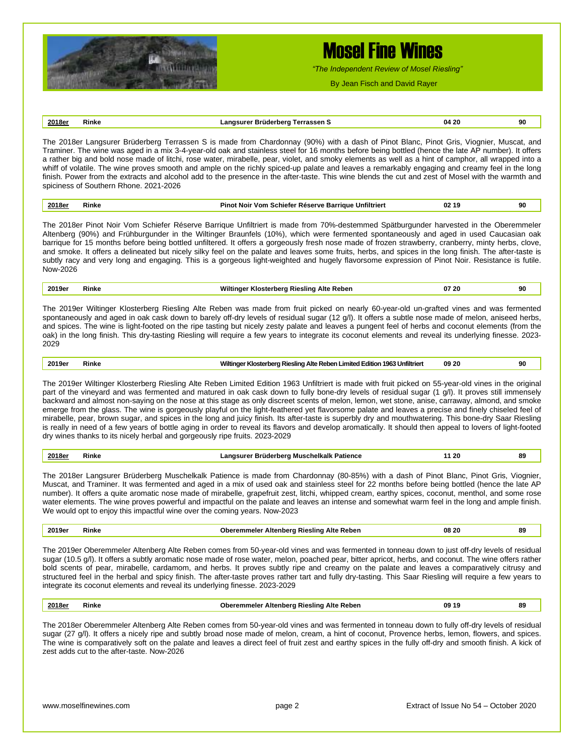

## Mosel Fine Wines

*"The Independent Review of Mosel Riesling"*

By Jean Fisch and David Rayer

### **2018er Rinke Langsurer Brüderberg Terrassen S 04 20 90**

The 2018er Langsurer Brüderberg Terrassen S is made from Chardonnay (90%) with a dash of Pinot Blanc, Pinot Gris, Viognier, Muscat, and Traminer. The wine was aged in a mix 3-4-year-old oak and stainless steel for 16 months before being bottled (hence the late AP number). It offers a rather big and bold nose made of litchi, rose water, mirabelle, pear, violet, and smoky elements as well as a hint of camphor, all wrapped into a whiff of volatile. The wine proves smooth and ample on the richly spiced-up palate and leaves a remarkably engaging and creamy feel in the long finish. Power from the extracts and alcohol add to the presence in the after-taste. This wine blends the cut and zest of Mosel with the warmth and spiciness of Southern Rhone. 2021-2026

| 2018er<br>Unfiltrier<br>02<br>∟Schiefer Réserve Barrique '<br>Vom<br>₹inke<br>Pinot Noir ∖<br>19 | 90 |
|--------------------------------------------------------------------------------------------------|----|
|--------------------------------------------------------------------------------------------------|----|

The 2018er Pinot Noir Vom Schiefer Réserve Barrique Unfiltriert is made from 70%-destemmed Spätburgunder harvested in the Oberemmeler Altenberg (90%) and Frühburgunder in the Wiltinger Braunfels (10%), which were fermented spontaneously and aged in used Caucasian oak barrique for 15 months before being bottled unfiltered. It offers a gorgeously fresh nose made of frozen strawberry, cranberry, minty herbs, clove, and smoke. It offers a delineated but nicely silky feel on the palate and leaves some fruits, herbs, and spices in the long finish. The after-taste is subtly racy and very long and engaging. This is a gorgeous light-weighted and hugely flavorsome expression of Pinot Noir. Resistance is futile. Now-2026

| 2019er | Alte Reben<br>Riesling<br>the contract of the contract of                                 | 20 '<br>$\sim$ $\sim$ | 90 |
|--------|-------------------------------------------------------------------------------------------|-----------------------|----|
|        | $\mathbf{r}$ and $\mathbf{r}$ is the $\mathbf{r}$ in the $\mathbf{r}$ in the $\mathbf{r}$ |                       |    |

The 2019er Wiltinger Klosterberg Riesling Alte Reben was made from fruit picked on nearly 60-year-old un-grafted vines and was fermented spontaneously and aged in oak cask down to barely off-dry levels of residual sugar (12 g/l). It offers a subtle nose made of melon, aniseed herbs, and spices. The wine is light-footed on the ripe tasting but nicely zesty palate and leaves a pungent feel of herbs and coconut elements (from the oak) in the long finish. This dry-tasting Riesling will require a few years to integrate its coconut elements and reveal its underlying finesse. 2023- 2029

**2019er Rinke Wiltinger Klosterberg Riesling Alte Reben Limited Edition 1963 Unfiltriert 09 20 90**

The 2019er Wiltinger Klosterberg Riesling Alte Reben Limited Edition 1963 Unfiltriert is made with fruit picked on 55-year-old vines in the original part of the vineyard and was fermented and matured in oak cask down to fully bone-dry levels of residual sugar (1 g/l). It proves still immensely backward and almost non-saying on the nose at this stage as only discreet scents of melon, lemon, wet stone, anise, carraway, almond, and smoke emerge from the glass. The wine is gorgeously playful on the light-feathered yet flavorsome palate and leaves a precise and finely chiseled feel of mirabelle, pear, brown sugar, and spices in the long and juicy finish. Its after-taste is superbly dry and mouthwatering. This bone-dry Saar Riesling is really in need of a few years of bottle aging in order to reveal its flavors and develop aromatically. It should then appeal to lovers of light-footed dry wines thanks to its nicely herbal and gorgeously ripe fruits. 2023-2029

| 2018er<br><br>$\sim$<br>≺ınke<br>Patience<br>ulicinain |  |  |  | 89<br>--<br>- - |
|--------------------------------------------------------|--|--|--|-----------------|
|--------------------------------------------------------|--|--|--|-----------------|

The 2018er Langsurer Brüderberg Muschelkalk Patience is made from Chardonnay (80-85%) with a dash of Pinot Blanc, Pinot Gris, Viognier, Muscat, and Traminer. It was fermented and aged in a mix of used oak and stainless steel for 22 months before being bottled (hence the late AP number). It offers a quite aromatic nose made of mirabelle, grapefruit zest, litchi, whipped cream, earthy spices, coconut, menthol, and some rose water elements. The wine proves powerful and impactful on the palate and leaves an intense and somewhat warm feel in the long and ample finish. We would opt to enjoy this impactful wine over the coming years. Now-2023

| 2019e<br>. | Rinke | 08<br>-20<br>Reben<br>АIТ<br>- -<br>$\sim$ $\sim$ | 89 |
|------------|-------|---------------------------------------------------|----|
|            |       |                                                   |    |

The 2019er Oberemmeler Altenberg Alte Reben comes from 50-year-old vines and was fermented in tonneau down to just off-dry levels of residual sugar (10.5 g/l). It offers a subtly aromatic nose made of rose water, melon, poached pear, bitter apricot, herbs, and coconut. The wine offers rather bold scents of pear, mirabelle, cardamom, and herbs. It proves subtly ripe and creamy on the palate and leaves a comparatively citrusy and structured feel in the herbal and spicy finish. The after-taste proves rather tart and fully dry-tasting. This Saar Riesling will require a few years to integrate its coconut elements and reveal its underlying finesse. 2023-2029

|--|

The 2018er Oberemmeler Altenberg Alte Reben comes from 50-year-old vines and was fermented in tonneau down to fully off-dry levels of residual sugar (27 g/l). It offers a nicely ripe and subtly broad nose made of melon, cream, a hint of coconut, Provence herbs, lemon, flowers, and spices. The wine is comparatively soft on the palate and leaves a direct feel of fruit zest and earthy spices in the fully off-dry and smooth finish. A kick of zest adds cut to the after-taste. Now-2026